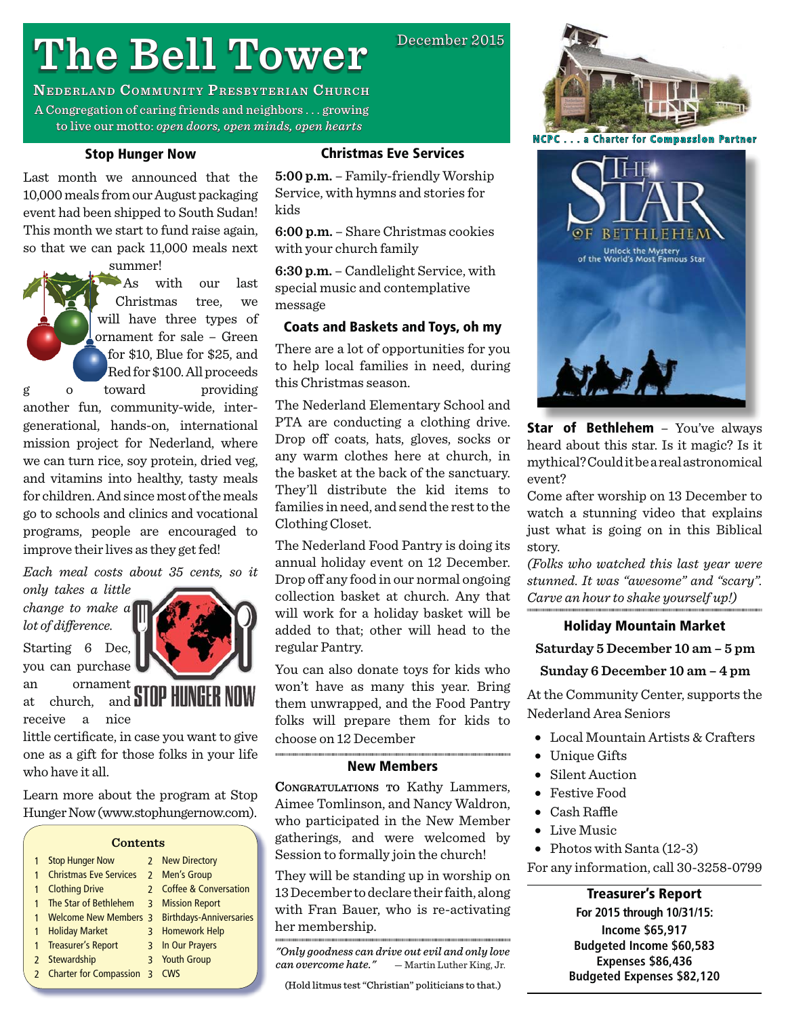## **The Bell Tower he**

**NEDERLAND COMMUNITY PRESBYTERIAN CHURCH** A Congregation of caring friends and neighbors  $\dots$  growing to live our motto: open doors, open minds, open hearts

#### **Stop Hunger Now**

Last month we announced that the 10,000 meals from our August packaging event had been shipped to South Sudan! This month we start to fund raise again, so that we can pack 11,000 meals next

summer! As with our last Christmas tree, we C will have three types of will ornament for sale - Green for \$10, Blue for \$25, and for Red for \$100. All proceeds Re g o toward providing another fun, community-wide, intergenerational, hands-on, international mission project for Nederland, where we can turn rice, soy protein, dried veg, and vitamins into healthy, tasty meals for children. And since most of the meals go to schools and clinics and vocational programs, people are encouraged to improve their lives as they get fed!

*Each meal costs about 35 cents, so it only takes a little* 

*change to make a*  lot of difference.

Starting 6 Dec, you can purchase

an ornament at church, and receive a nice

little certificate, in case you want to give one as a gift for those folks in your life who have it all.

Learn more about the program at Stop Hunger Now (www.stophungernow.com).

#### **Contents**

|              | <b>Stop Hunger Now</b>                        | 2 New Directory         |
|--------------|-----------------------------------------------|-------------------------|
| $\mathbf{1}$ | <b>Christmas Eve Services</b>                 | 2 Men's Group           |
| $\mathbf{1}$ | <b>Clothing Drive</b>                         | 2 Coffee & Conversation |
| $\mathbf{1}$ | The Star of Bethlehem                         | 3 Mission Report        |
| $\mathbf{1}$ | Welcome New Members 3 Birthdays-Anniversaries |                         |
|              | 1 Holiday Market                              | 3 Homework Help         |
|              | 1 Treasurer's Report                          | 3 In Our Prayers        |
|              | 2 Stewardship                                 | 3 Youth Group           |
|              | 2 Charter for Compassion                      | 3 CWS                   |
|              |                                               |                         |

#### **Christmas Eve Services**

December 2015

**5:00 p.m.** – Family-friendly Worship Service, with hymns and stories for kids

**6:00 p.m.** – Share Christmas cookies with your church family

**6:30 p.m.** – Candlelight Service, with special music and contemplative message

#### **Coats and Baskets and Toys, oh my**

There are a lot of opportunities for you to help local families in need, during this Christmas season.

The Nederland Elementary School and PTA are conducting a clothing drive. Drop off coats, hats, gloves, socks or any warm clothes here at church, in the basket at the back of the sanctuary. They'll distribute the kid items to families in need, and send the rest to the Clothing Closet.

The Nederland Food Pantry is doing its annual holiday event on 12 December. Drop off any food in our normal ongoing collection basket at church. Any that will work for a holiday basket will be added to that; other will head to the regular Pantry.

You can also donate toys for kids who won't have as many this year. Bring them unwrapped, and the Food Pantry folks will prepare them for kids to choose on 12 December

#### **New Members**

**CONGRATULATIONS TO** Kathy Lammers, Aimee Tomlinson, and Nancy Waldron, who participated in the New Member gatherings, and were welcomed by Session to formally join the church!

They will be standing up in worship on 13 December to declare their faith, along with Fran Bauer, who is re-activating her membership.

*"Only goodness can drive out evil and only love can overcome hate."* — Martin Luther King, Jr.

(Hold litmus test "Christian" politicians to that.)



**NCPC**. . . a Charter for **Compassion ompassionPartner**



**Star of Bethlehem** – You've always heard about this star. Is it magic? Is it mythical? Could it be a real astronomical event?

Come after worship on 13 December to watch a stunning video that explains just what is going on in this Biblical story.

*(Folks who watched this last year were stunned. It was "awesome" and "scary". Carve an hour to shake yourself up!)* 

#### **Holiday Mountain Market**

**Saturday 5 December 10 am – 5 pm**

#### **Sunday 6 December 10 am – 4 pm**

At the Community Center, supports the Nederland Area Seniors

- Local Mountain Artists & Crafters
- Unique Gifts
- Silent Auction
- Festive Food
- $\bullet$  Cash Raffle
- Live Music
- Photos with Santa  $(12-3)$

For any information, call 30-3258-0799

**Treasurer's Report For 2015 through 10/31/15: Income \$65,917 Budgeted Income \$60,583 Expenses \$86,436 Budgeted Expenses \$82,120**

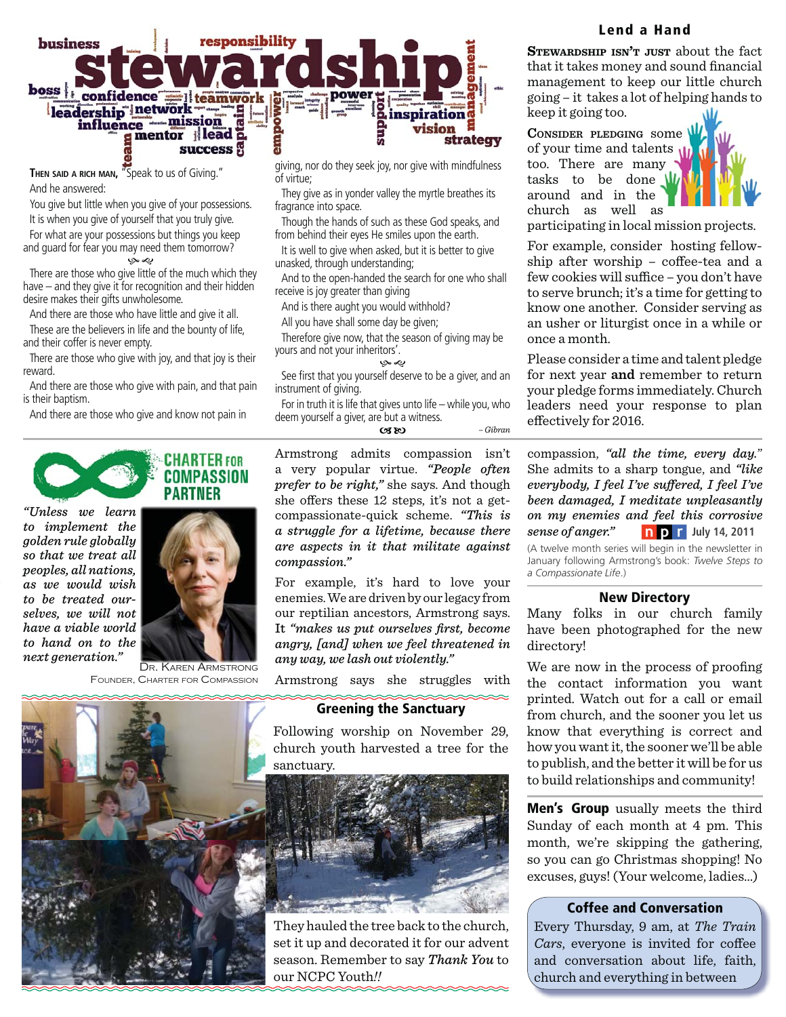

**THEN SAID <sup>A</sup> RICH MAN,** "Speak to us of Giving." And he answered:

You give but little when you give of your possessions. It is when you give of yourself that you truly give.

For what are your possessions but things you keep and guard for fear you may need them tomorrow? بهاني

There are those who give little of the much which they have – and they give it for recognition and their hidden desire makes their gifts unwholesome.

And there are those who have little and give it all. These are the believers in life and the bounty of life, and their coffer is never empty.

There are those who give with joy, and that joy is their reward.

And there are those who give with pain, and that pain is their baptism.

And there are those who give and know not pain in

# **CHARTER** FOR

*"Unless we learn to implement the golden rule globally so that we treat all peoples, all nations, as we would wish to be treated ourselves, we will not have a viable world to hand on to the* 

### COMPASSION **PARTNER**



**next generation."** DR. KAREN ARMSTRONG FOUNDER, CHARTER FOR COMPASSION



giving, nor do they seek joy, nor give with mindfulness of virtue;

They give as in yonder valley the myrtle breathes its fragrance into space.

Though the hands of such as these God speaks, and from behind their eyes He smiles upon the earth.

It is well to give when asked, but it is better to give unasked, through understanding;

And to the open-handed the search for one who shall receive is joy greater than giving

And is there aught you would withhold?

All you have shall some day be given;

Therefore give now, that the season of giving may be yours and not your inheritors'.

به دي

See first that you yourself deserve to be a giver, and an instrument of giving.

For in truth it is life that gives unto life – while you, who deem yourself a giver, are but a witness. *– Gibran*

Armstrong admits compassion isn't a very popular virtue. *"People often prefer to be right,"* she says. And though she offers these 12 steps, it's not a getcompassionate-quick scheme. *"This is a struggle for a lifetime, because there are aspects in it that militate against compassion."*

For example, it's hard to love your enemies. We are driven by our legacy from our reptilian ancestors, Armstrong says. It "makes us put ourselves first, become *angry, [and] when we feel threatened in any way, we lash out violently."*

Armstrong says she struggles with

#### **Greening the Sanctuary**

Following worship on November 29, church youth harvested a tree for the sanctuary.



They hauled the tree back to the church, set it up and decorated it for our advent season. Remember to say *Thank You* to our NCPC Youth*!!*

#### **Lend a Hand**

**STEWARDSHIP ISN'T JUST** about the fact that it takes money and sound financial management to keep our little church going – it takes a lot of helping hands to keep it going too.

**CONSIDER PLEDGING** SOME of your time and talents<br>too. There are many too. There are many tasks to be done  $\mathbf{W}$ around and in the church as well as

participating in local mission projects.

For example, consider hosting fellowship after worship  $-$  coffee-tea and a few cookies will suffice - you don't have to serve brunch; it's a time for getting to know one another. Consider serving as an usher or liturgist once in a while or once a month.

Please consider a time and talent pledge for next year **and** remember to return your pledge forms immediately. Church leaders need your response to plan effectively for 2016.

compassion, *"all the time, every day.*" She admits to a sharp tongue, and *"like*  everybody, I feel I've suffered, I feel I've *been damaged, I meditate unpleasantly on my enemies and feel this corrosive*  **gense of anger." DPT** July 14, 2011 l

(A twelve following Armstrong's book: *Twelve Steps to* **a** Compassionate Life in *a Compassionate Life*.)

#### **New Directory**

Many folks in our church family have been photographed for the new directory!

We are now in the process of proofing the contact information you want printed. Watch out for a call or email from church, and the sooner you let us know that everything is correct and how you want it, the sooner we'll be able to publish, and the better it will be for us to build relationships and community!

**Men's Group** usually meets the third Sunday of each month at 4 pm. This month, we're skipping the gathering, so you can go Christmas shopping! No excuses, guys! (Your welcome, ladies…)

#### **Coffee and Conversation**

Every Thursday, 9 am, at *The Train Cars*, everyone is invited for coffee and conversation about life, faith, church and everything in between